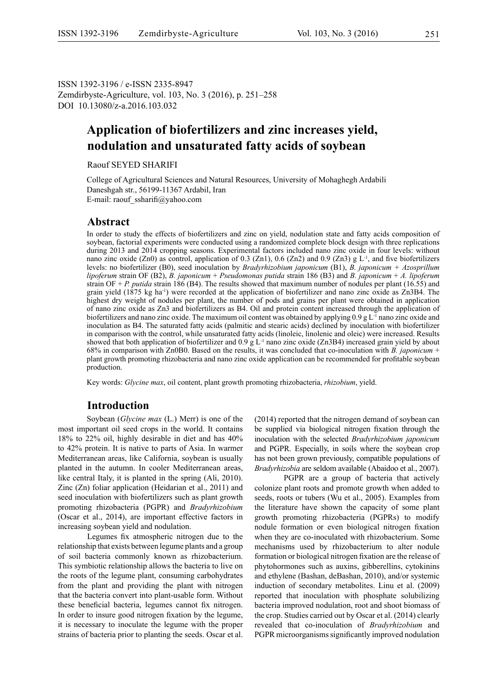ISSN 1392-3196 / e-ISSN 2335-8947 Zemdirbyste-Agriculture, vol. 103, No. 3 (2016), p. 251–258 DOI 10.13080/z-a.2016.103.032

# **Application of biofertilizers and zinc increases yield, nodulation and unsaturated fatty acids of soybean**

Raouf SEYED SHARIFI

College of Agricultural Sciences and Natural Resources, University of Mohaghegh Ardabili Daneshgah str., 56199-11367 Ardabil, Iran E-mail: raouf\_ssharifi@yahoo.com

#### **Abstract**

In order to study the effects of biofertilizers and zinc on yield, nodulation state and fatty acids composition of soybean, factorial experiments were conducted using a randomized complete block design with three replications during 2013 and 2014 cropping seasons. Experimental factors included nano zinc oxide in four levels: without nano zinc oxide (Zn0) as control, application of 0.3 (Zn1), 0.6 (Zn2) and 0.9 (Zn3) g  $L^{-1}$ , and five biofertilizers levels: no biofertilizer (B0), seed inoculation by *Bradyrhizobium japonicum* (B1), *B. japonicum + Azosprillum lipoferum* strain OF (B2), *B. japonicum* + *Pseudomonas putida* strain 186 (B3) and *B. japonicum* + *A. lipoferum* strain OF + *P. putida* strain 186 (B4). The results showed that maximum number of nodules per plant (16.55) and grain yield (1875 kg ha-1) were recorded at the application of biofertilizer and nano zinc oxide as Zn3B4. The highest dry weight of nodules per plant, the number of pods and grains per plant were obtained in application of nano zinc oxide as Zn3 and biofertilizers as B4. Oil and protein content increased through the application of biofertilizers and nano zinc oxide. The maximum oil content was obtained by applying  $0.9 \text{ g L}^{-1}$  nano zinc oxide and inoculation as B4. The saturated fatty acids (palmitic and stearic acids) declined by inoculation with biofertilizer in comparison with the control, while unsaturated fatty acids (linoleic, linolenic and oleic) were increased. Results showed that both application of biofertilizer and 0.9 g L<sup>-1</sup> nano zinc oxide (Zn3B4) increased grain yield by about 68% in comparison with Zn0B0. Based on the results, it was concluded that co-inoculation with *B. japonicum* + plant growth promoting rhizobacteria and nano zinc oxide application can be recommended for profitable soybean production.

Key words: *Glycine max*, oil content, plant growth promoting rhizobacteria, *rhizobium*, yield.

### **Introduction**

Soybean (*Glycine max* (L.) Merr) is one of the most important oil seed crops in the world. It contains 18% to 22% oil, highly desirable in diet and has 40% to 42% protein. It is native to parts of Asia. In warmer Mediterranean areas, like California, soybean is usually planted in the autumn. In cooler Mediterranean areas, like central Italy, it is planted in the spring (Ali, 2010). Zinc (Zn) foliar application (Heidarian et al., 2011) and seed inoculation with biofertilizers such as plant growth promoting rhizobacteria (PGPR) and *Bradyrhizobium* (Oscar et al., 2014), are important effective factors in increasing soybean yield and nodulation.

Legumes fix atmospheric nitrogen due to the relationship that exists between legume plants and a group of soil bacteria commonly known as rhizobacterium. This symbiotic relationship allows the bacteria to live on the roots of the legume plant, consuming carbohydrates from the plant and providing the plant with nitrogen that the bacteria convert into plant-usable form. Without these beneficial bacteria, legumes cannot fix nitrogen. In order to insure good nitrogen fixation by the legume, it is necessary to inoculate the legume with the proper strains of bacteria prior to planting the seeds. Oscar et al.

(2014) reported that the nitrogen demand of soybean can be supplied via biological nitrogen fixation through the inoculation with the selected *Bradyrhizobium japonicum* and PGPR. Especially, in soils where the soybean crop has not been grown previously, compatible populations of *Bradyrhizobia* are seldom available (Abaidoo et al., 2007).

PGPR are a group of bacteria that actively colonize plant roots and promote growth when added to seeds, roots or tubers (Wu et al., 2005). Examples from the literature have shown the capacity of some plant growth promoting rhizobacteria (PGPRs) to modify nodule formation or even biological nitrogen fixation when they are co-inoculated with rhizobacterium. Some mechanisms used by rhizobacterium to alter nodule formation or biological nitrogen fixation are the release of phytohormones such as auxins, gibberellins, cytokinins and ethylene (Bashan, deBashan, 2010), and/or systemic induction of secondary metabolites. Linu et al. (2009) reported that inoculation with phosphate solubilizing bacteria improved nodulation, root and shoot biomass of the crop. Studies carried out by Oscar et al. (2014) clearly revealed that co-inoculation of *Bradyrhizobium* and PGPR microorganisms significantly improved nodulation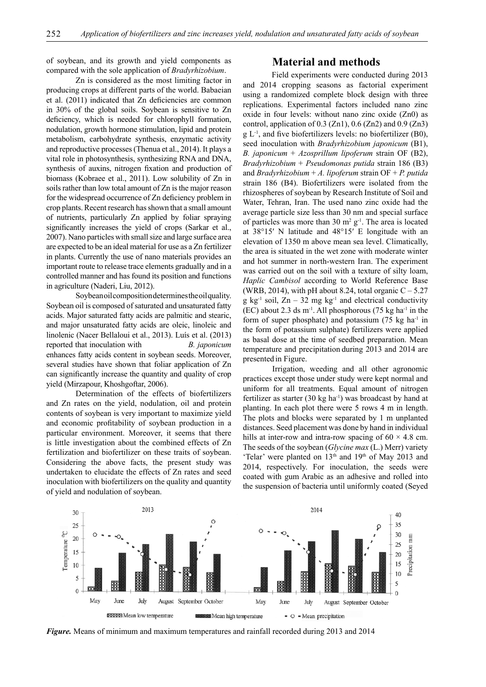of soybean, and its growth and yield components as compared with the sole application of *Bradyrhizobium*.

Zn is considered as the most limiting factor in producing crops at different parts of the world. Babaeian et al. (2011) indicated that Zn deficiencies are common in 30% of the global soils. Soybean is sensitive to Zn deficiency, which is needed for chlorophyll formation, nodulation, growth hormone stimulation, lipid and protein metabolism, carbohydrate synthesis, enzymatic activity and reproductive processes (Thenua et al., 2014). It plays a vital role in photosynthesis, synthesizing RNA and DNA, synthesis of auxins, nitrogen fixation and production of biomass (Kobraee et al., 2011). Low solubility of Zn in soils rather than low total amount of Zn is the major reason for the widespread occurrence of Zn deficiency problem in crop plants. Recent research has shown that a small amount of nutrients, particularly Zn applied by foliar spraying significantly increases the yield of crops (Sarkar et al., 2007). Nano particles with small size and large surface area are expected to be an ideal material for use as a Zn fertilizer in plants. Currently the use of nano materials provides an important route to release trace elements gradually and in a controlled manner and has found its position and functions in agriculture (Naderi, Liu, 2012).

Soybean oil composition determines the oil quality. Soybean oil is composed of saturated and unsaturated fatty acids. Major saturated fatty acids are palmitic and stearic, and major unsaturated fatty acids are oleic, linoleic and linolenic (Nacer Bellaloui et al., 2013). Luís et al. (2013) reported that inoculation with *B. japonicum* enhances fatty acids content in soybean seeds. Moreover, several studies have shown that foliar application of Zn can significantly increase the quantity and quality of crop yield (Mirzapour, Khoshgoftar, 2006).

Determination of the effects of biofertilizers and Zn rates on the yield, nodulation, oil and protein contents of soybean is very important to maximize yield and economic profitability of soybean production in a particular environment. Moreover, it seems that there is little investigation about the combined effects of Zn fertilization and biofertilizer on these traits of soybean. Considering the above facts, the present study was undertaken to elucidate the effects of Zn rates and seed inoculation with biofertilizers on the quality and quantity of yield and nodulation of soybean.

#### **Material and methods**

Field experiments were conducted during 2013 and 2014 cropping seasons as factorial experiment using a randomized complete block design with three replications. Experimental factors included nano zinc oxide in four levels: without nano zinc oxide (Zn0) as control, application of  $0.3$  (Zn1),  $0.6$  (Zn2) and  $0.9$  (Zn3)  $g L<sup>-1</sup>$ , and five biofertilizers levels: no biofertilizer (B0), seed inoculation with *Bradyrhizobium japonicum* (B1), *B. japonicum* + *Azosprillum lipoferum* strain OF (B2), *Bradyrhizobium* + *Pseudomonas putida* strain 186 (B3) and *Bradyrhizobium* + *A. lipoferum* strain OF + *P. putida* strain 186 (B4). Biofertilizers were isolated from the rhizospheres of soybean by Research Institute of Soil and Water, Tehran, Iran. The used nano zinc oxide had the average particle size less than 30 nm and special surface of particles was more than 30  $m^2$  g<sup>-1</sup>. The area is located at 38°15ʹ N latitude and 48°15ʹ E longitude with an elevation of 1350 m above mean sea level. Climatically, the area is situated in the wet zone with moderate winter and hot summer in north-western Iran. The experiment was carried out on the soil with a texture of silty loam, *Haplic Cambisol* according to World Reference Base (WRB, 2014), with pH about 8.24, total organic  $C - 5.27$ g kg<sup>-1</sup> soil,  $Zn - 32$  mg kg<sup>-1</sup> and electrical conductivity  $(EC)$  about 2.3 ds m<sup>-1</sup>. All phosphorous (75 kg ha<sup>-1</sup> in the form of super phosphate) and potassium  $(75 \text{ kg ha}^{-1})$  in the form of potassium sulphate) fertilizers were applied as basal dose at the time of seedbed preparation. Mean temperature and precipitation during 2013 and 2014 are presented in Figure.

Irrigation, weeding and all other agronomic practices except those under study were kept normal and uniform for all treatments. Equal amount of nitrogen fertilizer as starter  $(30 \text{ kg} \text{ ha}^{-1})$  was broadcast by hand at planting. In each plot there were 5 rows 4 m in length. The plots and blocks were separated by 1 m unplanted distances. Seed placement was done by hand in individual hills at inter-row and intra-row spacing of  $60 \times 4.8$  cm. The seeds of the soybean (*Glycine max* (L.) Merr) variety 'Telar' were planted on  $13<sup>th</sup>$  and  $19<sup>th</sup>$  of May 2013 and 2014, respectively. For inoculation, the seeds were coated with gum Arabic as an adhesive and rolled into the suspension of bacteria until uniformly coated (Seyed



*Figure.* Means of minimum and maximum temperatures and rainfall recorded during 2013 and 2014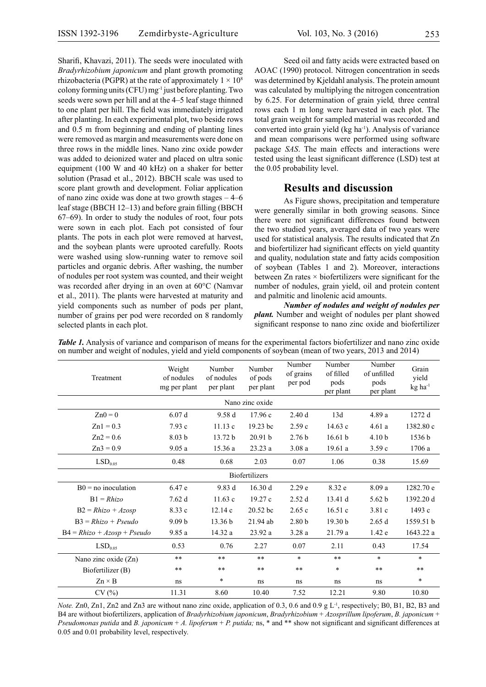Sharifi, Khavazi, 2011). The seeds were inoculated with *Bradyrhizobium japonicum* and plant growth promoting rhizobacteria (PGPR) at the rate of approximately  $1 \times 10^8$ colony forming units (CFU) mg-1 just before planting. Two seeds were sown per hill and at the 4–5 leaf stage thinned to one plant per hill. The field was immediately irrigated after planting. In each experimental plot, two beside rows and 0.5 m from beginning and ending of planting lines were removed as margin and measurements were done on three rows in the middle lines. Nano zinc oxide powder was added to deionized water and placed on ultra sonic equipment (100 W and 40 kHz) on a shaker for better solution (Prasad et al., 2012). BBCH scale was used to score plant growth and development. Foliar application of nano zinc oxide was done at two growth stages – 4–6 leaf stage (BBCH 12–13) and before grain filling (BBCH 67–69). In order to study the nodules of root, four pots were sown in each plot. Each pot consisted of four plants. The pots in each plot were removed at harvest, and the soybean plants were uprooted carefully. Roots were washed using slow-running water to remove soil particles and organic debris. After washing, the number of nodules per root system was counted, and their weight was recorded after drying in an oven at 60°C (Namvar et al., 2011). The plants were harvested at maturity and yield components such as number of pods per plant, number of grains per pod were recorded on 8 randomly selected plants in each plot.

Seed oil and fatty acids were extracted based on AOAC (1990) protocol. Nitrogen concentration in seeds was determined by Kjeldahl analysis. The protein amount was calculated by multiplying the nitrogen concentration by 6.25. For determination of grain yield*,* three central rows each 1 m long were harvested in each plot. The total grain weight for sampled material was recorded and converted into grain yield (kg ha<sup>-1</sup>). Analysis of variance and mean comparisons were performed using software package *SAS*. The main effects and interactions were tested using the least significant difference (LSD) test at the 0.05 probability level.

### **Results and discussion**

As Figure shows, precipitation and temperature were generally similar in both growing seasons. Since there were not significant differences found between the two studied years, averaged data of two years were used for statistical analysis. The results indicated that Zn and biofertilizer had significant effects on yield quantity and quality, nodulation state and fatty acids composition of soybean (Tables 1 and 2). Moreover, interactions between  $\text{Zn}$  rates  $\times$  biofertilizers were significant for the number of nodules, grain yield, oil and protein content and palmitic and linolenic acid amounts.

*Number of nodules and weight of nodules per plant.* Number and weight of nodules per plant showed significant response to nano zinc oxide and biofertilizer

| Treatment                     | Weight<br>of nodules<br>mg per plant | Number<br>of nodules<br>per plant | Number<br>of pods<br>per plant | Number<br>of grains<br>per pod | Number<br>of filled<br>pods<br>per plant | Number<br>of unfilled<br>pods<br>per plant | Grain<br>yield<br>kg ha <sup>-1</sup> |  |  |
|-------------------------------|--------------------------------------|-----------------------------------|--------------------------------|--------------------------------|------------------------------------------|--------------------------------------------|---------------------------------------|--|--|
| Nano zinc oxide               |                                      |                                   |                                |                                |                                          |                                            |                                       |  |  |
| $Zn0=0$                       | 6.07d                                | 9.58 d                            | 17.96c                         | 2.40d                          | 13d                                      | 4.89 a                                     | 1272 d                                |  |  |
| $Zn1 = 0.3$                   | 7.93c                                | 11.13c                            | $19.23$ bc                     | 2.59c                          | 14.63c                                   | 4.61a                                      | 1382.80 c                             |  |  |
| $Zn2 = 0.6$                   | 8.03 <sub>b</sub>                    | 13.72 b                           | 20.91 b                        | 2.76 <sub>b</sub>              | 16.61 b                                  | 4.10 <sub>b</sub>                          | 1536 b                                |  |  |
| $Zn3 = 0.9$                   | 9.05a                                | 15.36a                            | 23.23a                         | 3.08a                          | 19.61 a                                  | 3.59c                                      | 1706 a                                |  |  |
| LSD <sub>0.05</sub>           | 0.48                                 | 0.68                              | 2.03                           | 0.07                           | 1.06                                     | 0.38                                       | 15.69                                 |  |  |
| Biofertilizers                |                                      |                                   |                                |                                |                                          |                                            |                                       |  |  |
| $B0$ = no inoculation         | 6.47 e                               | 9.83 d                            | 16.30 d                        | 2.29e                          | 8.32 e                                   | 8.09 a                                     | 1282.70 e                             |  |  |
| $B1 = Rhizo$                  | 7.62d                                | 11.63c                            | 19.27c                         | 2.52d                          | 13.41 d                                  | 5.62 <sub>b</sub>                          | 1392.20 d                             |  |  |
| $B2 = Rhizo + Azosp$          | 8.33 c                               | 12.14c                            | 20.52 bc                       | 2.65c                          | 16.51c                                   | 3.81 c                                     | 1493 c                                |  |  |
| $B3 = Rhizo + Pseudo$         | 9.09 <sub>b</sub>                    | 13.36 b                           | 21.94 ab                       | $2.80\,\mathrm{b}$             | 19.30 <sub>b</sub>                       | 2.65d                                      | 1559.51 b                             |  |  |
| $B4 = Rhizo + Azosp + Pseudo$ | 9.85a                                | 14.32 a                           | 23.92 a                        | 3.28a                          | 21.79 a                                  | 1.42e                                      | 1643.22 a                             |  |  |
| LSD <sub>0.05</sub>           | 0.53                                 | 0.76                              | 2.27                           | 0.07                           | 2.11                                     | 0.43                                       | 17.54                                 |  |  |
| Nano zinc oxide (Zn)          | **                                   | $***$                             | $**$                           | $\ast$                         | $**$                                     | $\ast$                                     | $\ast$                                |  |  |
| Biofertilizer (B)             | $**$                                 | $\star\star$                      | **                             | $***$                          | $\ast$                                   | $**$                                       | **                                    |  |  |
| $Zn \times B$                 | ns                                   | $\ast$                            | ns                             | ns                             | ns                                       | ns                                         | $\ast$                                |  |  |
| CV(%)                         | 11.31                                | 8.60                              | 10.40                          | 7.52                           | 12.21                                    | 9.80                                       | 10.80                                 |  |  |

*Table 1.* Analysis of variance and comparison of means for the experimental factors biofertilizer and nano zinc oxide on number and weight of nodules, yield and yield components of soybean (mean of two years, 2013 and 2014)

*Note.* Zn0, Zn1, Zn2 and Zn3 are without nano zinc oxide, application of 0.3, 0.6 and 0.9 g L<sup>-1</sup>, respectively; B0, B1, B2, B3 and B4 are without biofertilizers, application of *Bradyrhizobium japonicum*, *Bradyrhizobium* + *Azosprillum lipoferum*, *B. japonicum* + *Pseudomonas putida* and *B. japonicum* + *A. lipoferum* + *P. putida;* ns, \* and \*\* show not significant and significant differences at 0.05 and 0.01 probability level, respectively.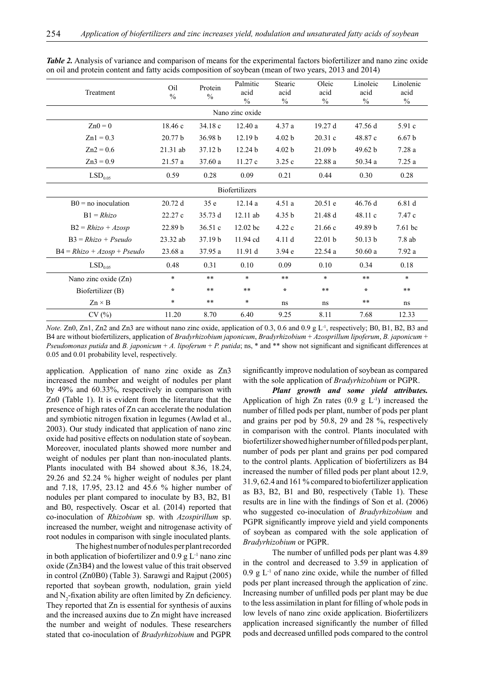| Treatment                     | Oil<br>$\frac{0}{0}$ | Protein<br>$\frac{0}{0}$ | Palmitic<br>acid<br>$\frac{0}{0}$ | Stearic<br>acid<br>$\frac{0}{0}$ | Oleic<br>acid<br>$\%$ | Linoleic<br>acid<br>$\%$ | Linolenic<br>acid<br>$\%$ |  |  |
|-------------------------------|----------------------|--------------------------|-----------------------------------|----------------------------------|-----------------------|--------------------------|---------------------------|--|--|
| Nano zinc oxide               |                      |                          |                                   |                                  |                       |                          |                           |  |  |
| $Zn0=0$                       | 18.46c               | 34.18 c                  | 12.40a                            | 4.37 a                           | 19.27 d               | 47.56 d                  | 5.91 c                    |  |  |
| $Zn1 = 0.3$                   | 20.77 b              | 36.98 b                  | 12.19 <sub>b</sub>                | 4.02 b                           | 20.31c                | 48.87 c                  | 6.67 <sub>b</sub>         |  |  |
| $Zn2 = 0.6$                   | $21.31$ ab           | 37.12 b                  | 12.24 b                           | 4.02 b                           | 21.09 <sub>b</sub>    | 49.62 b                  | 7.28a                     |  |  |
| $Zn3 = 0.9$                   | 21.57a               | 37.60a                   | 11.27c                            | 3.25c                            | 22.88 a               | 50.34a                   | 7.25a                     |  |  |
| LSD <sub>0.05</sub>           | 0.59                 | 0.28                     | 0.09                              | 0.21                             | 0.44                  | 0.30                     | 0.28                      |  |  |
| <b>Biofertilizers</b>         |                      |                          |                                   |                                  |                       |                          |                           |  |  |
| $B0 = no$ inoculation         | 20.72d               | 35 <sub>e</sub>          | 12.14a                            | 4.51a                            | 20.51 e               | 46.76d                   | 6.81d                     |  |  |
| $B1 = Rhizo$                  | 22.27 c              | 35.73 d                  | $12.11$ ab                        | 4.35 <sub>b</sub>                | 21.48 d               | 48.11 c                  | 7.47 c                    |  |  |
| $B2 = Rhizo + Azosp$          | 22.89 b              | 36.51c                   | $12.02$ bc                        | 4.22c                            | 21.66c                | 49.89 b                  | $7.61$ bc                 |  |  |
| $B3 = Rhizo + Pseudo$         | 23.32 ab             | 37.19 <sub>b</sub>       | 11.94 cd                          | 4.11 d                           | 22.01 <sub>b</sub>    | 50.13 b                  | 7.8ab                     |  |  |
| $B4 = Rhizo + Azosp + Pseudo$ | 23.68a               | 37.95 a                  | 11.91 d                           | 3.94 e                           | 22.54a                | 50.60a                   | 7.92a                     |  |  |
| LSD <sub>0.05</sub>           | 0.48                 | 0.31                     | 0.10                              | 0.09                             | 0.10                  | 0.34                     | 0.18                      |  |  |
| Nano zinc oxide (Zn)          | $\ast$               | $\star\star$             | $\ast$                            | $**$                             | $\ast$                | $**$                     | $\ast$                    |  |  |
| Biofertilizer (B)             | $\star$              | $\ast\ast$               | $***$                             | $\star$                          | $***$                 | $\star$                  | $\star\star$              |  |  |
| $Zn \times B$                 | $\ast$               | $***$                    | $\ast$                            | ns                               | ns                    | $**$                     | ns                        |  |  |
| CV(%)                         | 11.20                | 8.70                     | 6.40                              | 9.25                             | 8.11                  | 7.68                     | 12.33                     |  |  |

*Table 2.* Analysis of variance and comparison of means for the experimental factors biofertilizer and nano zinc oxide on oil and protein content and fatty acids composition of soybean (mean of two years, 2013 and 2014)

*Note.* Zn0, Zn1, Zn2 and Zn3 are without nano zinc oxide, application of 0.3, 0.6 and 0.9 g L<sup>-1</sup>, respectively; B0, B1, B2, B3 and B4 are without biofertilizers, application of *Bradyrhizobium japonicum*, *Bradyrhizobium* + *Azosprillum lipoferum*, *B. japonicum* + *Pseudomonas putida* and *B. japonicum* + *A. lipoferum* + *P. putida*; ns, \* and \*\* show not significant and significant differences at 0.05 and 0.01 probability level, respectively.

application. Application of nano zinc oxide as Zn3 increased the number and weight of nodules per plant by 49% and 60.33%, respectively in comparison with Zn0 (Table 1). It is evident from the literature that the presence of high rates of Zn can accelerate the nodulation and symbiotic nitrogen fixation in legumes (Awlad et al., 2003). Our study indicated that application of nano zinc oxide had positive effects on nodulation state of soybean. Moreover, inoculated plants showed more number and weight of nodules per plant than non-inoculated plants. Plants inoculated with B4 showed about 8.36, 18.24, 29.26 and 52.24 % higher weight of nodules per plant and 7.18, 17.95, 23.12 and 45.6 % higher number of nodules per plant compared to inoculate by B3, B2, B1 and B0, respectively. Oscar et al. (2014) reported that co-inoculation of *Rhizobium* sp. with *Azospirillum* sp. increased the number, weight and nitrogenase activity of root nodules in comparison with single inoculated plants.

The highest number of nodules per plant recorded in both application of biofertilizer and  $0.9 \text{ g L}^{-1}$  nano zinc oxide (Zn3B4) and the lowest value of this trait observed in control (Zn0B0) (Table 3). Sarawgi and Rajput (2005) reported that soybean growth, nodulation, grain yield and  $N_2$ -fixation ability are often limited by Zn deficiency. They reported that Zn is essential for synthesis of auxins and the increased auxins due to Zn might have increased the number and weight of nodules. These researchers stated that co-inoculation of *Bradyrhizobium* and PGPR

significantly improve nodulation of soybean as compared with the sole application of *Bradyrhizobium* or PGPR.

*Plant growth and some yield attributes.* Application of high Zn rates  $(0.9 \text{ g L}^{-1})$  increased the number of filled pods per plant, number of pods per plant and grains per pod by 50.8, 29 and 28 %, respectively in comparison with the control. Plants inoculated with biofertilizer showed higher number of filled pods per plant, number of pods per plant and grains per pod compared to the control plants. Application of biofertilizers as B4 increased the number of filled pods per plant about 12.9, 31.9, 62.4 and 161 % compared to biofertilizer application as B3, B2, B1 and B0, respectively (Table 1). These results are in line with the findings of Son et al. (2006) who suggested co-inoculation of *Bradyrhizobium* and PGPR significantly improve yield and yield components of soybean as compared with the sole application of *Bradyrhizobium* or PGPR.

The number of unfilled pods per plant was 4.89 in the control and decreased to 3.59 in application of  $0.9 \text{ g L}^{-1}$  of nano zinc oxide, while the number of filled pods per plant increased through the application of zinc. Increasing number of unfilled pods per plant may be due to the less assimilation in plant for filling of whole pods in low levels of nano zinc oxide application. Biofertilizers application increased significantly the number of filled pods and decreased unfilled pods compared to the control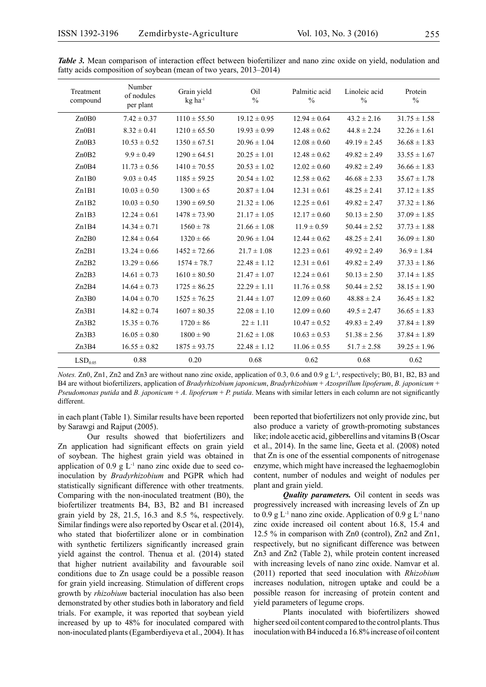| Treatment<br>compound | Number<br>of nodules<br>per plant | Grain vield<br>kg ha <sup>-1</sup> | Oil<br>$\%$      | Palmitic acid<br>$\%$ | Linoleic acid<br>$\%$ | Protein<br>$\frac{0}{0}$ |
|-----------------------|-----------------------------------|------------------------------------|------------------|-----------------------|-----------------------|--------------------------|
| Zn0B0                 | $7.42 \pm 0.37$                   | $1110 \pm 55.50$                   | $19.12 \pm 0.95$ | $12.94 \pm 0.64$      | $43.2 \pm 2.16$       | $31.75 \pm 1.58$         |
| Zn0B1                 | $8.32 \pm 0.41$                   | $1210 \pm 65.50$                   | $19.93 \pm 0.99$ | $12.48 \pm 0.62$      | $44.8 \pm 2.24$       | $32.26 \pm 1.61$         |
| Zn0B3                 | $10.53 \pm 0.52$                  | $1350 \pm 67.51$                   | $20.96 \pm 1.04$ | $12.08 \pm 0.60$      | $49.19 \pm 2.45$      | $36.68 \pm 1.83$         |
| Zn0B2                 | $9.9 \pm 0.49$                    | $1290 \pm 64.51$                   | $20.25 \pm 1.01$ | $12.48 \pm 0.62$      | $49.82 \pm 2.49$      | $33.55 \pm 1.67$         |
| Zn0B4                 | $11.73 \pm 0.56$                  | $1410 \pm 70.55$                   | $20.53 \pm 1.02$ | $12.02 \pm 0.60$      | $49.82 \pm 2.49$      | $36.66 \pm 1.83$         |
| Zn1B0                 | $9.03 \pm 0.45$                   | $1185 \pm 59.25$                   | $20.54 \pm 1.02$ | $12.58 \pm 0.62$      | $46.68 \pm 2.33$      | $35.67 \pm 1.78$         |
| Zn1B1                 | $10.03 \pm 0.50$                  | $1300 \pm 65$                      | $20.87 \pm 1.04$ | $12.31 \pm 0.61$      | $48.25 \pm 2.41$      | $37.12 \pm 1.85$         |
| Zn1B2                 | $10.03 \pm 0.50$                  | $1390 \pm 69.50$                   | $21.32 \pm 1.06$ | $12.25 \pm 0.61$      | $49.82 \pm 2.47$      | $37.32 \pm 1.86$         |
| Zn1B3                 | $12.24 \pm 0.61$                  | $1478 \pm 73.90$                   | $21.17 \pm 1.05$ | $12.17 \pm 0.60$      | $50.13 \pm 2.50$      | $37.09 \pm 1.85$         |
| Zn1B4                 | $14.34 \pm 0.71$                  | $1560 \pm 78$                      | $21.66 \pm 1.08$ | $11.9 \pm 0.59$       | $50.44 \pm 2.52$      | $37.73 \pm 1.88$         |
| Zn2B0                 | $12.84 \pm 0.64$                  | $1320 \pm 66$                      | $20.96 \pm 1.04$ | $12.44 \pm 0.62$      | $48.25 \pm 2.41$      | $36.09 \pm 1.80$         |
| Zn2B1                 | $13.24 \pm 0.66$                  | $1452 \pm 72.66$                   | $21.7 \pm 1.08$  | $12.23 \pm 0.61$      | $49.92 \pm 2.49$      | $36.9 \pm 1.84$          |
| Zn2B2                 | $13.29 \pm 0.66$                  | $1574 \pm 78.7$                    | $22.48 \pm 1.12$ | $12.31 \pm 0.61$      | $49.82 \pm 2.49$      | $37.33 \pm 1.86$         |
| Zn2B3                 | $14.61 \pm 0.73$                  | $1610 \pm 80.50$                   | $21.47 \pm 1.07$ | $12.24 \pm 0.61$      | $50.13 \pm 2.50$      | $37.14 \pm 1.85$         |
| Zn2B4                 | $14.64 \pm 0.73$                  | $1725 \pm 86.25$                   | $22.29 \pm 1.11$ | $11.76 \pm 0.58$      | $50.44 \pm 2.52$      | $38.15 \pm 1.90$         |
| Zn3B0                 | $14.04 \pm 0.70$                  | $1525 \pm 76.25$                   | $21.44 \pm 1.07$ | $12.09 \pm 0.60$      | $48.88 \pm 2.4$       | $36.45 \pm 1.82$         |
| Zn3B1                 | $14.82 \pm 0.74$                  | $1607 \pm 80.35$                   | $22.08 \pm 1.10$ | $12.09 \pm 0.60$      | $49.5 \pm 2.47$       | $36.65 \pm 1.83$         |
| Zn3B2                 | $15.35 \pm 0.76$                  | $1720 \pm 86$                      | $22 \pm 1.11$    | $10.47 \pm 0.52$      | $49.83 \pm 2.49$      | $37.84 \pm 1.89$         |
| Zn3B3                 | $16.05 \pm 0.80$                  | $1800 \pm 90$                      | $21.62 \pm 1.08$ | $10.63 \pm 0.53$      | $51.38 \pm 2.56$      | $37.84 \pm 1.89$         |
| Zn3B4                 | $16.55 \pm 0.82$                  | $1875 \pm 93.75$                   | $22.48 \pm 1.12$ | $11.06 \pm 0.55$      | $51.7 \pm 2.58$       | $39.25 \pm 1.96$         |
| LSD <sub>0.05</sub>   | 0.88                              | 0.20                               | 0.68             | 0.62                  | 0.68                  | 0.62                     |

*Table 3.* Mean comparison of interaction effect between biofertilizer and nano zinc oxide on yield, nodulation and fatty acids composition of soybean (mean of two years, 2013–2014)

*Notes.* Zn0, Zn1, Zn2 and Zn3 are without nano zinc oxide, application of 0.3, 0.6 and 0.9 g L<sup>-1</sup>, respectively; B0, B1, B2, B3 and B4 are without biofertilizers, application of *Bradyrhizobium japonicum*, *Bradyrhizobium* + *Azosprillum lipoferum*, *B. japonicum* + *Pseudomonas putida* and *B. japonicum* + *A. lipoferum* + *P. putida*. Means with similar letters in each column are not significantly different.

in each plant (Table 1). Similar results have been reported by Sarawgi and Rajput (2005).

Our results showed that biofertilizers and Zn application had significant effects on grain yield of soybean. The highest grain yield was obtained in application of  $0.9 \text{ g L}^{-1}$  nano zinc oxide due to seed coinoculation by *Bradyrhizobium* and PGPR which had statistically significant difference with other treatments. Comparing with the non-inoculated treatment (B0), the biofertilizer treatments B4, B3, B2 and B1 increased grain yield by  $28$ ,  $21.5$ ,  $16.3$  and  $8.5\%$ , respectively. Similar findings were also reported by Oscar et al. (2014), who stated that biofertilizer alone or in combination with synthetic fertilizers significantly increased grain yield against the control. Thenua et al. (2014) stated that higher nutrient availability and favourable soil conditions due to Zn usage could be a possible reason for grain yield increasing. Stimulation of different crops growth by *rhizobium* bacterial inoculation has also been demonstrated by other studies both in laboratory and field trials. For example, it was reported that soybean yield increased by up to 48% for inoculated compared with non-inoculated plants (Egamberdiyeva et al., 2004). It has

been reported that biofertilizers not only provide zinc, but also produce a variety of growth-promoting substances like; indole acetic acid, gibberellins and vitamins B (Oscar et al., 2014). In the same line, Geeta et al. (2008) noted that Zn is one of the essential components of nitrogenase enzyme, which might have increased the leghaemoglobin content, number of nodules and weight of nodules per plant and grain yield.

*Quality parameters.* Oil content in seeds was progressively increased with increasing levels of Zn up to 0.9 g L<sup>-1</sup> nano zinc oxide. Application of 0.9 g L<sup>-1</sup> nano zinc oxide increased oil content about 16.8, 15.4 and 12.5 % in comparison with Zn0 (control), Zn2 and Zn1, respectively, but no significant difference was between Zn3 and Zn2 (Table 2), while protein content increased with increasing levels of nano zinc oxide. Namvar et al. (2011) reported that seed inoculation with *Rhizobium* increases nodulation, nitrogen uptake and could be a possible reason for increasing of protein content and yield parameters of legume crops.

Plants inoculated with biofertilizers showed higher seed oil content compared to the control plants. Thus inoculation with B4 induced a 16.8% increase of oil content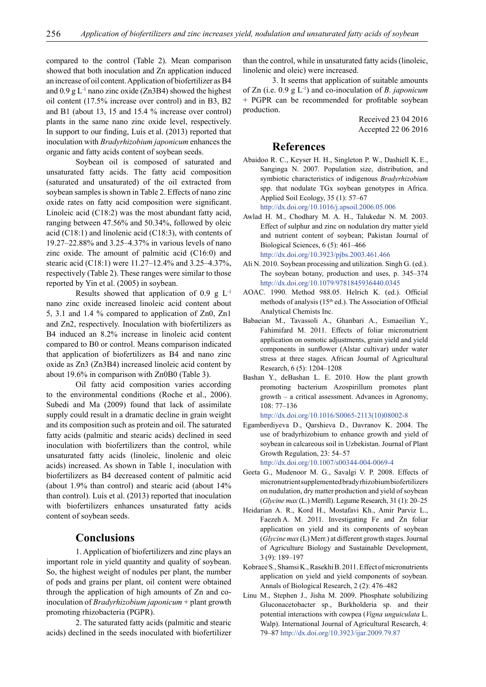compared to the control (Table 2). Mean comparison showed that both inoculation and Zn application induced an increase of oil content. Application of biofertilizer as B4 and 0.9 g  $L<sup>-1</sup>$  nano zinc oxide (Zn3B4) showed the highest oil content (17.5% increase over control) and in B3, B2 and B1 (about 13, 15 and 15.4 % increase over control) plants in the same nano zinc oxide level, respectively. In support to our finding, Luís et al. (2013) reported that inoculation with *Bradyrhizobium japonicum* enhances the organic and fatty acids content of soybean seeds.

Soybean oil is composed of saturated and unsaturated fatty acids. The fatty acid composition (saturated and unsaturated) of the oil extracted from soybean samples is shown in Table 2. Effects of nano zinc oxide rates on fatty acid composition were significant. Linoleic acid (C18:2) was the most abundant fatty acid, ranging between 47.56% and 50.34%, followed by oleic acid (C18:1) and linolenic acid (C18:3), with contents of 19.27–22.88% and 3.25–4.37% in various levels of nano zinc oxide. The amount of palmitic acid (C16:0) and stearic acid (C18:1) were 11.27–12.4% and 3.25–4.37%, respectively (Table 2). These ranges were similar to those reported by Yin et al. (2005) in soybean.

Results showed that application of 0.9 g  $L^{-1}$ nano zinc oxide increased linoleic acid content about 5, 3.1 and 1.4 % compared to application of Zn0, Zn1 and Zn2, respectively. Inoculation with biofertilizers as B4 induced an 8.2% increase in linoleic acid content compared to B0 or control. Means comparison indicated that application of biofertilizers as B4 and nano zinc oxide as Zn3 (Zn3B4) increased linoleic acid content by about 19.6% in comparison with Zn0B0 (Table 3).

Oil fatty acid composition varies according to the environmental conditions (Roche et al., 2006). Subedi and Ma (2009) found that lack of assimilate supply could result in a dramatic decline in grain weight and its composition such as protein and oil. The saturated fatty acids (palmitic and stearic acids) declined in seed inoculation with biofertilizers than the control, while unsaturated fatty acids (linoleic, linolenic and oleic acids) increased. As shown in Table 1, inoculation with biofertilizers as B4 decreased content of palmitic acid (about 1.9% than control) and stearic acid (about 14% than control). Luís et al. (2013) reported that inoculation with biofertilizers enhances unsaturated fatty acids content of soybean seeds.

#### **Conclusions**

1. Application of biofertilizers and zinc plays an important role in yield quantity and quality of soybean. So, the highest weight of nodules per plant, the number of pods and grains per plant, oil content were obtained through the application of high amounts of Zn and coinoculation of *Bradyrhizobium japonicum* + plant growth promoting rhizobacteria (PGPR).

2. The saturated fatty acids (palmitic and stearic acids) declined in the seeds inoculated with biofertilizer than the control, while in unsaturated fatty acids (linoleic, linolenic and oleic) were increased.

3. It seems that application of suitable amounts of Zn (i.e. 0.9 g L-1) and co-inoculation of *B. japonicum* + PGPR can be recommended for profitable soybean production.

Received 23 04 2016 Accepted 22 06 2016

### **References**

- Abaidoo R. C., Keyser H. H., Singleton P. W., Dashiell K. E., Sanginga N. 2007. Population size, distribution, and symbiotic characteristics of indigenous *Bradyrhizobium* spp. that nodulate TGx soybean genotypes in Africa. Applied Soil Ecology, 35 (1): 57–67 <http://dx.doi.org/10.1016/j.apsoil.2006.05.006>
- Awlad H. M., Chodhary M. A. H., Talukedar N. M. 2003. Effect of sulphur and zinc on nodulation dry matter yield and nutrient content of soybean; Pakistan Journal of Biological Sciences, 6 (5): 461–466 <http://dx.doi.org/10.3923/pjbs.2003.461.466>
- Ali N. 2010. Soybean processing and utilization. Singh G. (ed.). The soybean botany, production and uses, p. 345–374 <http://dx.doi.org/10.1079/9781845936440.0345>
- AOAC. 1990. Method 988.05. Helrich K. (ed.). Official methods of analysis (15<sup>th</sup> ed.). The Association of Official Analytical Chemists Inc.
- Babaeian M., Tavassoli A., Ghanbari A., Esmaeilian Y., Fahimifard M. 2011. Effects of foliar micronutrient application on osmotic adjustments, grain yield and yield components in sunflower (Alstar cultivar) under water stress at three stages. African Journal of Agricultural Research, 6 (5): 1204–1208
- Bashan Y., deBashan L. E. 2010. How the plant growth promoting bacterium Azospirillum promotes plant growth – a critical assessment. Advances in Agronomy, 108: 77–136
	- [http://dx.doi.org/10.1016/S0065-2113\(10\)08002-8](http://dx.doi.org/10.1016/S0065-2113(10)08002-8)
- Egamberdiyeva D., Qarshieva D., Davranov K. 2004. The use of bradyrhizobium to enhance growth and yield of soybean in calcareous soil in Uzbekistan. Journal of Plant Growth Regulation, 23: 54–57 <http://dx.doi.org/10.1007/s00344-004-0069-4>
- Geeta G., Mudenoor M. G., Savalgi V. P. 2008. Effects of micronutrient supplemented brady rhizobium biofertilizers on nudulation, dry matter production and yield of soybean (*Glycine max* (L.) Merrill). Legume Research, 31 (1): 20–25
- Heidarian A. R., Kord H., Mostafavi Kh., Amir Parviz L., Faezeh A. M. 2011. Investigating Fe and Zn foliar application on yield and its components of soybean (*Glycine max* (L) Merr.) at different growth stages. Journal of Agriculture Biology and Sustainable Development, 3 (9): 189–197
- Kobraee S., Shamsi K., Rasekhi B. 2011. Effect of micronutrients application on yield and yield components of soybean. Annals of Biological Research, 2 (2): 476–482
- Linu M., Stephen J., Jisha M. 2009. Phosphate solubilizing Gluconacetobacter sp., Burkholderia sp. and their potential interactions with cowpea (*Vigna unguiculata* L. Walp). International Journal of Agricultural Research, 4: 79–87 <http://dx.doi.org/10.3923/ijar.2009.79.87>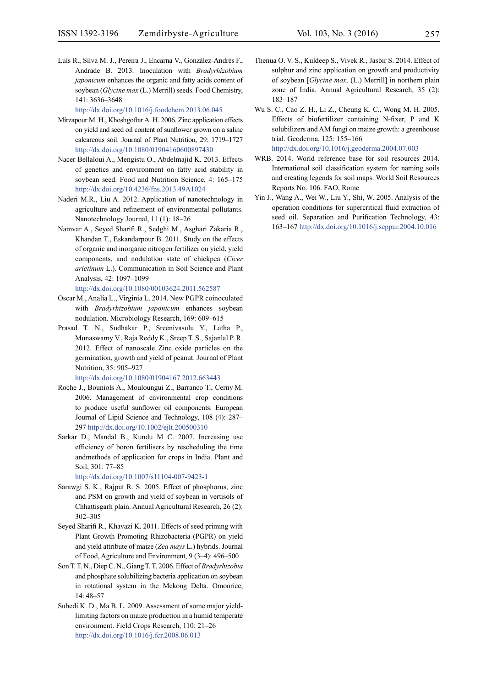Luís R., Silva M. J., Pereira J., Encarna V., González-Andrés F., Andrade B. 2013. Inoculation with *Bradyrhizobium japonicum* enhances the organic and fatty acids content of soybean (*Glycine max* (L.) Merrill) seeds. Food Chemistry, 141: 3636–3648

<http://dx.doi.org/10.1016/j.foodchem.2013.06.045>

- Mirzapour M. H., Khoshgoftar A. H. 2006. Zinc application effects on yield and seed oil content of sunflower grown on a saline calcareous soil. Journal of Plant Nutrition, 29: 1719–1727 <http://dx.doi.org/10.1080/01904160600897430>
- Nacer Bellaloui A., Mengistu O., Abdelmajid K. 2013. Effects of genetics and environment on fatty acid stability in soybean seed. Food and Nutrition Science, 4: 165–175 <http://dx.doi.org/10.4236/fns.2013.49A1024>
- Naderi M.R., Liu A. 2012. Application of nanotechnology in agriculture and refinement of environmental pollutants. Nanotechnology Journal, 11 (1): 18–26
- Namvar A., Seyed Sharifi R., Sedghi M., Asghari Zakaria R., Khandan T., Eskandarpour B. 2011. Study on the effects of organic and inorganic nitrogen fertilizer on yield, yield components, and nodulation state of chickpea (*Cicer arietinum* L.). Communication in Soil Science and Plant Analysis, 42: 1097–1099
	- <http://dx.doi.org/10.1080/00103624.2011.562587>
- Oscar M., Analía L., Virginia L. 2014. New PGPR coinoculated with *Bradyrhizobium japonicum* enhances soybean nodulation. Microbiology Research, 169: 609–615
- Prasad T. N., Sudhakar P., Sreenivasulu Y., Latha P., Munaswamy V., Raja Reddy K., Sreep T. S., Sajanlal P. R. 2012. Effect of nanoscale Zinc oxide particles on the germination, growth and yield of peanut. Journal of Plant Nutrition, 35: 905–927

<http://dx.doi.org/10.1080/01904167.2012.663443>

- Roche J., Bouniols A., Mouloungui Z., Barranco T., Cerny M. 2006. Management of environmental crop conditions to produce useful sunflower oil components. European Journal of Lipid Science and Technology, 108 (4): 287– 297 <http://dx.doi.org/10.1002/ejlt.200500310>
- Sarkar D., Mandal B., Kundu M C. 2007. Increasing use efficiency of boron fertilisers by rescheduling the time andmethods of application for crops in India. Plant and Soil, 301: 77–85

<http://dx.doi.org/10.1007/s11104-007-9423-1>

- Sarawgi S. K., Rajput R. S. 2005. Effect of phosphorus, zinc and PSM on growth and yield of soybean in vertisols of Chhattisgarh plain. Annual Agricultural Research, 26 (2): 302–305
- Seyed Sharifi R., Khavazi K. 2011. Effects of seed priming with Plant Growth Promoting Rhizobacteria (PGPR) on yield and yield attribute of maize (*Zea mays* L.) hybrids. Journal of Food, Agriculture and Environment, 9 (3–4): 496–500
- Son T. T. N., Diep C. N., Giang T. T. 2006. Effect of *Bradyrhizobia* and phosphate solubilizing bacteria application on soybean in rotational system in the Mekong Delta. Omonrice, 14: 48–57
- Subedi K. D., Ma B. L. 2009. Assessment of some major yieldlimiting factors on maize production in a humid temperate environment. Field Crops Research, 110: 21–26 <http://dx.doi.org/10.1016/j.fcr.2008.06.013>
- Thenua O. V. S., Kuldeep S., Vivek R., Jasbir S. 2014. Effect of sulphur and zinc application on growth and productivity of soybean [*Glycine max*. (L.) Merrill] in northern plain zone of India. Annual Agricultural Research, 35 (2): 183–187
- Wu S. C., Cao Z. H., Li Z., Cheung K. C., Wong M. H. 2005. Effects of biofertilizer containing N-fixer, P and K solubilizers and AM fungi on maize growth: a greenhouse trial. Geoderma, 125: 155–166 <http://dx.doi.org/10.1016/j.geoderma.2004.07.003>
- WRB. 2014. World reference base for soil resources 2014. International soil classification system for naming soils and creating legends for soil maps. World Soil Resources Reports No. 106. FAO, Rome
- Yin J., Wang A., Wei W., Liu Y., Shi, W. 2005. Analysis of the operation conditions for supercritical fluid extraction of seed oil. Separation and Purification Technology, 43: 163–167 <http://dx.doi.org/10.1016/j.seppur.2004.10.016>